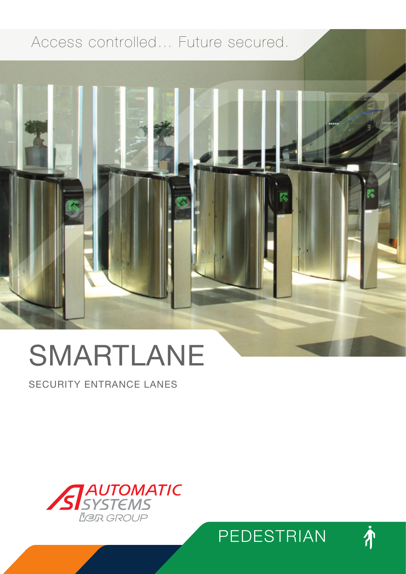## Access controlled… Future secured.



# SMARTLANE

SECURITY ENTRANCE LANES





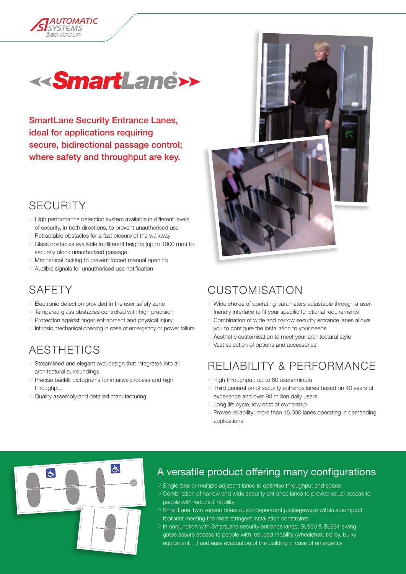



SmartLane Security Entrance Lanes, ideal for applications requiring secure, bidirectional passage control; where safety and throughput are key.

#### **SECURITY**

- 7 High performance detection system available in different levels of security, in both directions, to prevent unauthorised use
- 7 Retractable obstacles for a fast closure of the walkway
- 7 Glass obstacles available in different heights (up to 1900 mm) to securely block unauthorised passage
- 7 Mechanical locking to prevent forced manual opening
- 7 Audible signals for unauthorised use notification

#### **SAFFTY**

 $+$ 

- 7 Electronic detection provided in the user safety zone
- 7 Tempered glass obstacles controlled with high precision
- 7 Protection against finger entrapment and physical injury
- 7 Intrinsic mechanical opening in case of emergency or power failure

#### **AESTHETICS**

- 7 Streamlined and elegant oval design that integrates into all architectural surroundings
- 7 Precise backlit pictograms for intuitive process and high throughput
- 7 Quality assembly and detailed manufacturing



#### **CUSTOMISATION**

- 7 Wide choice of operating parameters adjustable through a userfriendly interface to fit your specific functional requirements
- 7 Combination of wide and narrow security entrance lanes allows you to configure the installation to your needs
- 7 Aesthetic customisation to meet your architectural style
- 7 Vast selection of options and accessories

#### RELIABILITY & PERFORMANCE

- 7 High throughput: up to 60 users/minute
- 7 Third generation of security entrance lanes based on 40 years of experience and over 90 million daily users
- 7 Long life cycle, low cost of ownership
- 7 Proven reliability: more than 15,000 lanes operating in demanding applications



#### A versatile product offering many configurations

- 8 Single lane or multiple adjacent lanes to optimise throughput and space
- 8 Combination of narrow and wide security entrance lanes to provide equal access to people with reduced mobility
- 8 SmartLane Twin version offers dual independent passageways within a compact footprint meeting the most stringent installation constraints
- o In conjunction with SmartLane security entrance lanes, SL930 & SL931 swing gates assure access to people with reduced mobility (wheelchair, trolley, bulky equipment,…) and easy evacuation of the building in case of emergency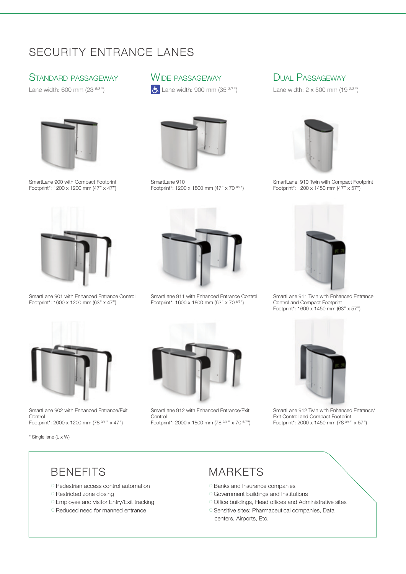#### SECURITY ENTRANCE LANES

#### Standard passageway

Lane width: 600 mm (23 5/8'')



SmartLane 900 with Compact Footprint Footprint\*: 1200 x 1200 mm (47" x 47")



SmartLane 901 with Enhanced Entrance Control Footprint\*: 1600 x 1200 mm (63'' x 47'')



 $\frac{1}{2}$  Lane width: 900 mm (35  $37$ ")



SmartLane 910 Footprint\*: 1200 x 1800 mm (47" x 70 6/7")



SmartLane 911 with Enhanced Entrance Control Footprint\*: 1600 x 1800 mm (63'' x 70 6/7'')



Lane width:  $2 \times 500$  mm (19  $2/3$ ")



SmartLane 910 Twin with Compact Footprint Footprint\*: 1200 x 1450 mm (47'' x 57'')



SmartLane 911 Twin with Enhanced Entrance Control and Compact Footprint Footprint\*: 1600 x 1450 mm (63'' x 57'')



SmartLane 902 with Enhanced Entrance/Exit **Control** Footprint\*: 2000 x 1200 mm (78 3/4"' x 47")

\* Single lane (L x W)



SmartLane 912 with Enhanced Entrance/Exit **Control** Footprint\*: 2000 x 1800 mm (78 3/4''' x 70 6/7'')



SmartLane 912 Twin with Enhanced Entrance/ Exit Control and Compact Footprint Footprint\*: 2000 x 1450 mm (78  $3/4''$  x 57")

#### **BENEFITS**

- 7 Pedestrian access control automation
- <sup>o</sup> Restricted zone closing
- <sup>o</sup> Employee and visitor Entry/Exit tracking
- 7 Reduced need for manned entrance

#### **MARKETS**

- <sup>O</sup> Banks and Insurance companies
- 7 Government buildings and Institutions
- 7 Office buildings, Head offices and Administrative sites
- 7 Sensitive sites: Pharmaceutical companies, Data centers, Airports, Etc.